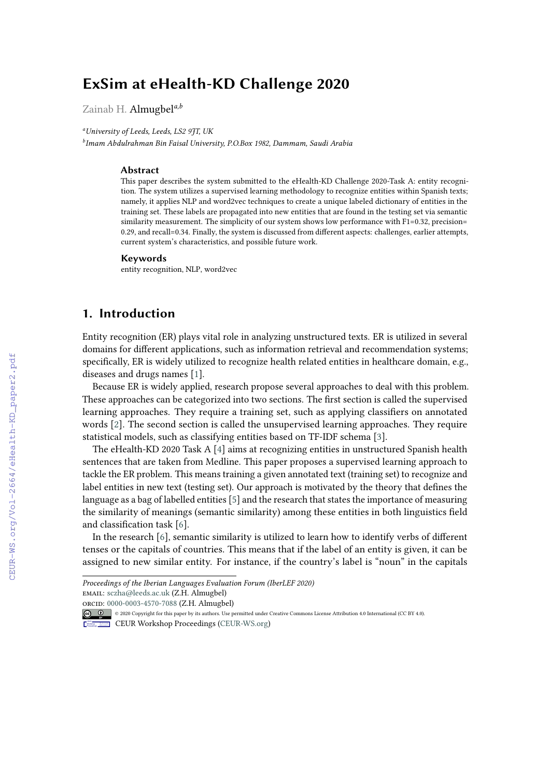# **ExSim at eHealth-KD Challenge 2020**

Zainab H. Almugbel*a,b*

*<sup>a</sup>University of Leeds, Leeds, LS2 9JT, UK*

*b Imam Abdulrahman Bin Faisal University, P.O.Box 1982, Dammam, Saudi Arabia*

#### **Abstract**

This paper describes the system submitted to the eHealth-KD Challenge 2020-Task A: entity recognition. The system utilizes a supervised learning methodology to recognize entities within Spanish texts; namely, it applies NLP and word2vec techniques to create a unique labeled dictionary of entities in the training set. These labels are propagated into new entities that are found in the testing set via semantic similarity measurement. The simplicity of our system shows low performance with F1=0.32, precision= 0.29, and recall=0.34. Finally, the system is discussed from different aspects: challenges, earlier attempts, current system's characteristics, and possible future work.

#### **Keywords**

entity recognition, NLP, word2vec

## **1. Introduction**

Entity recognition (ER) plays vital role in analyzing unstructured texts. ER is utilized in several domains for different applications, such as information retrieval and recommendation systems; specifically, ER is widely utilized to recognize health related entities in healthcare domain, e.g., diseases and drugs names [\[1\]](#page--1-0).

Because ER is widely applied, research propose several approaches to deal with this problem. These approaches can be categorized into two sections. The first section is called the supervised learning approaches. They require a training set, such as applying classifiers on annotated words [\[2\]](#page--1-1). The second section is called the unsupervised learning approaches. They require statistical models, such as classifying entities based on TF-IDF schema [\[3\]](#page--1-2).

The eHealth-KD 2020 Task A [\[4\]](#page--1-3) aims at recognizing entities in unstructured Spanish health sentences that are taken from Medline. This paper proposes a supervised learning approach to tackle the ER problem. This means training a given annotated text (training set) to recognize and label entities in new text (testing set). Our approach is motivated by the theory that defines the language as a bag of labelled entities [\[5\]](#page--1-4) and the research that states the importance of measuring the similarity of meanings (semantic similarity) among these entities in both linguistics field and classification task [\[6\]](#page--1-5).

In the research [\[6\]](#page--1-5), semantic similarity is utilized to learn how to identify verbs of different tenses or the capitals of countries. This means that if the label of an entity is given, it can be assigned to new similar entity. For instance, if the country's label is "noun" in the capitals

*Proceedings of the Iberian Languages Evaluation Forum (IberLEF 2020)* email: [sczha@leeds.ac.uk](mailto:sczha@leeds.ac.uk) (Z.H. Almugbel)

[orcid:](https://creativecommons.org/licenses/by/4.0) [0000-0003-4570-7088](https://orcid.org/0000-0003-4570-7088) (Z.H. Almugbel)

<sup>©</sup> 2020 Copyright for this paper by its authors. Use permitted under Creative Commons License Attribution 4.0 International (CC BY 4.0).

CEUR Workshop [Proceedings](http://ceur-ws.org) [\(CEUR-WS.org\)](http://ceur-ws.org)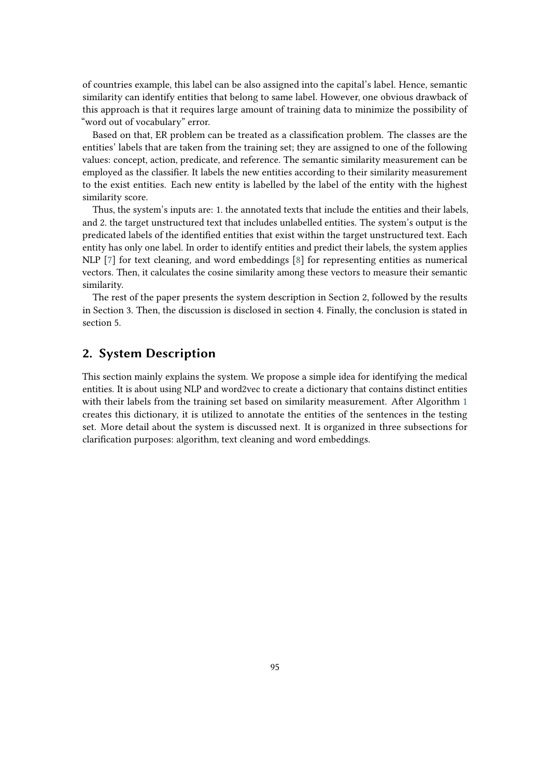of countries example, this label can be also assigned into the capital's label. Hence, semantic similarity can identify entities that belong to same label. However, one obvious drawback of this approach is that it requires large amount of training data to minimize the possibility of "word out of vocabulary" error.

Based on that, ER problem can be treated as a classification problem. The classes are the entities' labels that are taken from the training set; they are assigned to one of the following values: concept, action, predicate, and reference. The semantic similarity measurement can be employed as the classifier. It labels the new entities according to their similarity measurement to the exist entities. Each new entity is labelled by the label of the entity with the highest similarity score.

Thus, the system's inputs are: 1. the annotated texts that include the entities and their labels, and 2. the target unstructured text that includes unlabelled entities. The system's output is the predicated labels of the identified entities that exist within the target unstructured text. Each entity has only one label. In order to identify entities and predict their labels, the system applies NLP [\[7\]](#page-6-0) for text cleaning, and word embeddings [\[8\]](#page-6-1) for representing entities as numerical vectors. Then, it calculates the cosine similarity among these vectors to measure their semantic similarity.

The rest of the paper presents the system description in Section 2, followed by the results in Section 3. Then, the discussion is disclosed in section 4. Finally, the conclusion is stated in section 5.

### **2. System Description**

This section mainly explains the system. We propose a simple idea for identifying the medical entities. It is about using NLP and word2vec to create a dictionary that contains distinct entities with their labels from the training set based on similarity measurement. After Algorithm [1](#page-2-0) creates this dictionary, it is utilized to annotate the entities of the sentences in the testing set. More detail about the system is discussed next. It is organized in three subsections for clarification purposes: algorithm, text cleaning and word embeddings.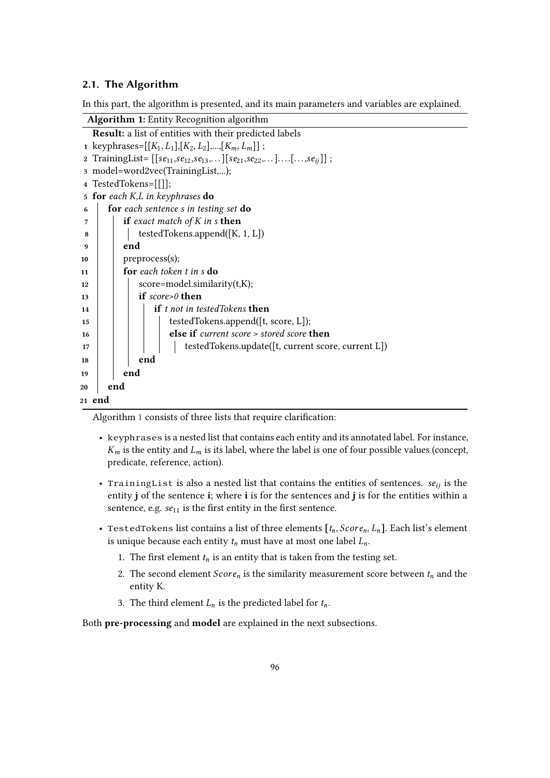### **2.1. The Algorithm**

In this part, the algorithm is presented, and its main parameters and variables are explained.

| <b>Algorithm 1:</b> Entity Recognition algorithm                             |
|------------------------------------------------------------------------------|
| <b>Result:</b> a list of entities with their predicted labels                |
| 1 keyphrases= $[[K_1, L_1],[K_2, L_2],, [K_m, L_m]]$ ;                       |
| 2 TrainingList= $[[se_{11},se_{12},se_{13},] [se_{21},se_{22},][[s_{eij}]];$ |
| 3 model=word2vec(TrainingList,);                                             |
| 4 TestedTokens=[[]];                                                         |
| 5 for each K,L in keyphrases do                                              |
| for each sentence s in testing set do<br>6                                   |
| if exact match of $K$ in $s$ then<br>7                                       |
| testedTokens.append([K, 1, L])<br>8                                          |
| end<br>9                                                                     |
| preprocess(s);<br>10                                                         |
| for each token t in s do<br>11                                               |
| score=model.similarity(t,K);<br>12                                           |
| if $score > 0$ then<br>13                                                    |
| <b>if</b> t not in testedTokens <b>then</b><br>14                            |
| testedTokens.append([t, score, L]);<br>15                                    |
| else if current score > stored score then<br>16                              |
| testedTokens.update([t, current score, current L])<br>17                     |
| end<br>18                                                                    |
| end<br>19                                                                    |
| end<br>20                                                                    |
| 21 end                                                                       |

<span id="page-2-0"></span>Algorithm [1](#page-2-0) consists of three lists that require clarification:

- keyphrases is a nested list that contains each entity and its annotated label. For instance,  $K_m$  is the entity and  $L_m$  is its label, where the label is one of four possible values (concept, predicate, reference, action).
- TrainingList is also a nested list that contains the entities of sentences.  $se_{ij}$  is the entity **j** of the sentence **i**; where **i** is for the sentences and **j** is for the entities within a sentence, e.g.  $se_{11}$  is the first entity in the first sentence.
- TestedTokens list contains a list of three elements  $[t_n, Score_n, L_n]$ . Each list's element is unique because each entity  $t_n$  must have at most one label  $L_n$ .
	- 1. The first element  $t_n$  is an entity that is taken from the testing set.
	- 2. The second element  $Score<sub>n</sub>$  is the similarity measurement score between  $t<sub>n</sub>$  and the entity K.
	- 3. The third element  $L_n$  is the predicted label for  $t_n$ .

Both **pre-processing** and **model** are explained in the next subsections.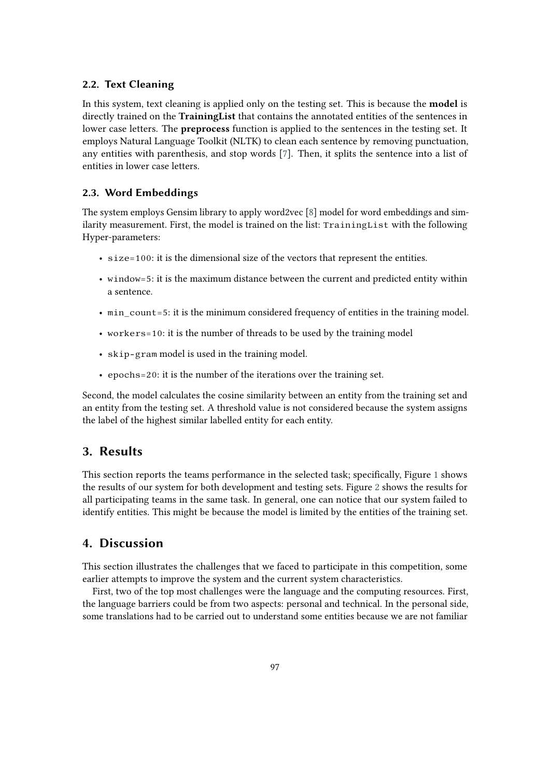### **2.2. Text Cleaning**

In this system, text cleaning is applied only on the testing set. This is because the **model** is directly trained on the **TrainingList** that contains the annotated entities of the sentences in lower case letters. The **preprocess** function is applied to the sentences in the testing set. It employs Natural Language Toolkit (NLTK) to clean each sentence by removing punctuation, any entities with parenthesis, and stop words [\[7\]](#page-6-0). Then, it splits the sentence into a list of entities in lower case letters.

#### **2.3. Word Embeddings**

The system employs Gensim library to apply word2vec [\[8\]](#page-6-1) model for word embeddings and similarity measurement. First, the model is trained on the list: TrainingList with the following Hyper-parameters:

- size=100: it is the dimensional size of the vectors that represent the entities.
- window=5: it is the maximum distance between the current and predicted entity within a sentence.
- min count=5: it is the minimum considered frequency of entities in the training model.
- workers=10: it is the number of threads to be used by the training model
- skip-gram model is used in the training model.
- epochs=20: it is the number of the iterations over the training set.

Second, the model calculates the cosine similarity between an entity from the training set and an entity from the testing set. A threshold value is not considered because the system assigns the label of the highest similar labelled entity for each entity.

### **3. Results**

This section reports the teams performance in the selected task; specifically, Figure [1](#page-4-0) shows the results of our system for both development and testing sets. Figure [2](#page-5-0) shows the results for all participating teams in the same task. In general, one can notice that our system failed to identify entities. This might be because the model is limited by the entities of the training set.

### **4. Discussion**

This section illustrates the challenges that we faced to participate in this competition, some earlier attempts to improve the system and the current system characteristics.

First, two of the top most challenges were the language and the computing resources. First, the language barriers could be from two aspects: personal and technical. In the personal side, some translations had to be carried out to understand some entities because we are not familiar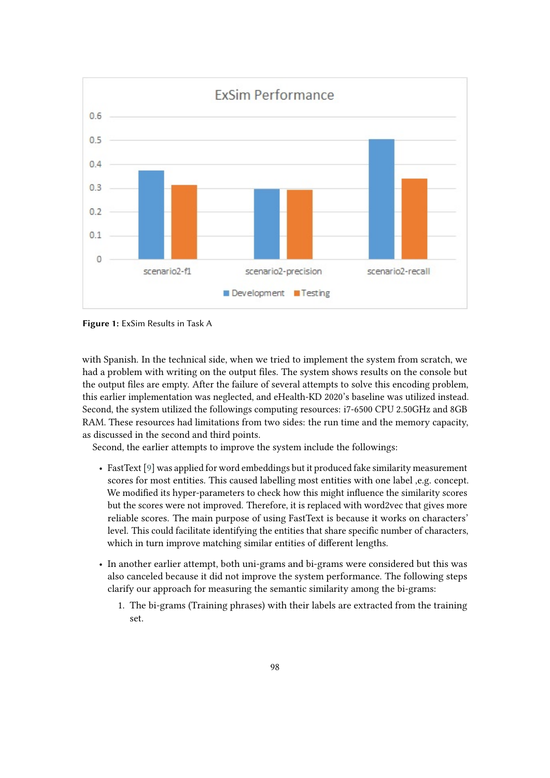

<span id="page-4-0"></span>**Figure 1:** ExSim Results in Task A

with Spanish. In the technical side, when we tried to implement the system from scratch, we had a problem with writing on the output files. The system shows results on the console but the output files are empty. After the failure of several attempts to solve this encoding problem, this earlier implementation was neglected, and eHealth-KD 2020's baseline was utilized instead. Second, the system utilized the followings computing resources: i7-6500 CPU 2.50GHz and 8GB RAM. These resources had limitations from two sides: the run time and the memory capacity, as discussed in the second and third points.

Second, the earlier attempts to improve the system include the followings:

- FastText [\[9\]](#page-6-2) was applied for word embeddings but it produced fake similarity measurement scores for most entities. This caused labelling most entities with one label ,e.g. concept. We modified its hyper-parameters to check how this might influence the similarity scores but the scores were not improved. Therefore, it is replaced with word2vec that gives more reliable scores. The main purpose of using FastText is because it works on characters' level. This could facilitate identifying the entities that share specific number of characters, which in turn improve matching similar entities of different lengths.
- In another earlier attempt, both uni-grams and bi-grams were considered but this was also canceled because it did not improve the system performance. The following steps clarify our approach for measuring the semantic similarity among the bi-grams:
	- 1. The bi-grams (Training phrases) with their labels are extracted from the training set.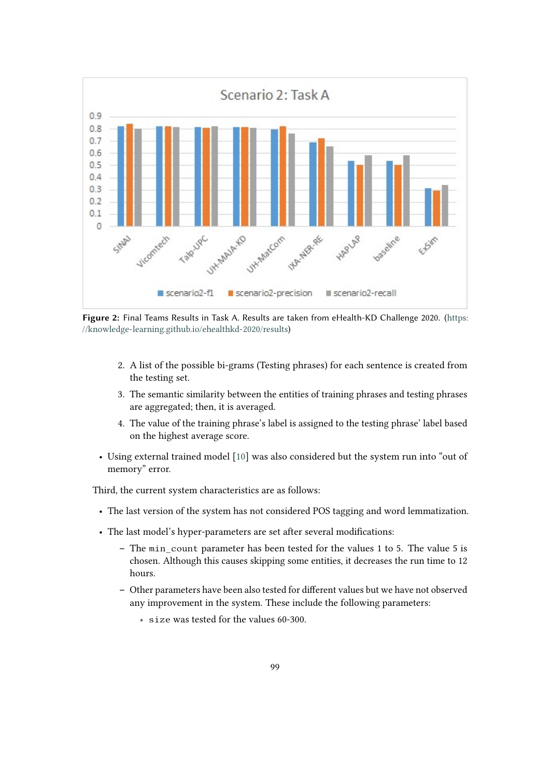

<span id="page-5-0"></span>**Figure 2:** Final Teams Results in Task A. Results are taken from eHealth-KD Challenge 2020. ([https:](https://knowledge-learning.github.io/ehealthkd-2020/results) [//knowledge-learning.github.io/ehealthkd-2020/results](https://knowledge-learning.github.io/ehealthkd-2020/results))

- 2. A list of the possible bi-grams (Testing phrases) for each sentence is created from the testing set.
- 3. The semantic similarity between the entities of training phrases and testing phrases are aggregated; then, it is averaged.
- 4. The value of the training phrase's label is assigned to the testing phrase' label based on the highest average score.
- Using external trained model [\[10\]](#page-7-0) was also considered but the system run into "out of memory" error.

Third, the current system characteristics are as follows:

- The last version of the system has not considered POS tagging and word lemmatization.
- The last model's hyper-parameters are set after several modifications:
	- **–** The min\_count parameter has been tested for the values 1 to 5. The value 5 is chosen. Although this causes skipping some entities, it decreases the run time to 12 hours.
	- **–** Other parameters have been also tested for different values but we have not observed any improvement in the system. These include the following parameters:
		- ∗ size was tested for the values 60-300.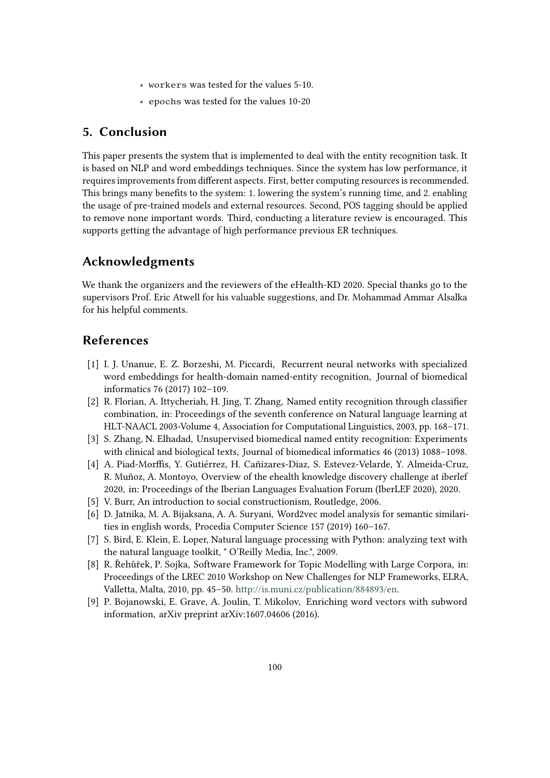- ∗ workers was tested for the values 5-10.
- ∗ epochs was tested for the values 10-20

### **5. Conclusion**

This paper presents the system that is implemented to deal with the entity recognition task. It is based on NLP and word embeddings techniques. Since the system has low performance, it requires improvements from different aspects. First, better computing resources is recommended. This brings many benefits to the system: 1. lowering the system's running time, and 2. enabling the usage of pre-trained models and external resources. Second, POS tagging should be applied to remove none important words. Third, conducting a literature review is encouraged. This supports getting the advantage of high performance previous ER techniques.

### **Acknowledgments**

We thank the organizers and the reviewers of the eHealth-KD 2020. Special thanks go to the supervisors Prof. Eric Atwell for his valuable suggestions, and Dr. Mohammad Ammar Alsalka for his helpful comments.

## **References**

- [1] I. J. Unanue, E. Z. Borzeshi, M. Piccardi, Recurrent neural networks with specialized word embeddings for health-domain named-entity recognition, Journal of biomedical informatics 76 (2017) 102–109.
- [2] R. Florian, A. Ittycheriah, H. Jing, T. Zhang, Named entity recognition through classifier combination, in: Proceedings of the seventh conference on Natural language learning at HLT-NAACL 2003-Volume 4, Association for Computational Linguistics, 2003, pp. 168–171.
- [3] S. Zhang, N. Elhadad, Unsupervised biomedical named entity recognition: Experiments with clinical and biological texts, Journal of biomedical informatics 46 (2013) 1088–1098.
- [4] A. Piad-Morffis, Y. Gutiérrez, H. Cañizares-Diaz, S. Estevez-Velarde, Y. Almeida-Cruz, R. Muñoz, A. Montoyo, Overview of the ehealth knowledge discovery challenge at iberlef 2020, in: Proceedings of the Iberian Languages Evaluation Forum (IberLEF 2020), 2020.
- [5] V. Burr, An introduction to social constructionism, Routledge, 2006.
- [6] D. Jatnika, M. A. Bijaksana, A. A. Suryani, Word2vec model analysis for semantic similarities in english words, Procedia Computer Science 157 (2019) 160–167.
- <span id="page-6-0"></span>[7] S. Bird, E. Klein, E. Loper, Natural language processing with Python: analyzing text with the natural language toolkit, " O'Reilly Media, Inc.", 2009.
- <span id="page-6-1"></span>[8] R. Řehůřek, P. Sojka, Software Framework for Topic Modelling with Large Corpora, in: Proceedings of the LREC 2010 Workshop on New Challenges for NLP Frameworks, ELRA, Valletta, Malta, 2010, pp. 45–50. [http://is.muni.cz/publication/884893/en.](http://is.muni.cz/publication/884893/en)
- <span id="page-6-2"></span>[9] P. Bojanowski, E. Grave, A. Joulin, T. Mikolov, Enriching word vectors with subword information, arXiv preprint arXiv:1607.04606 (2016).